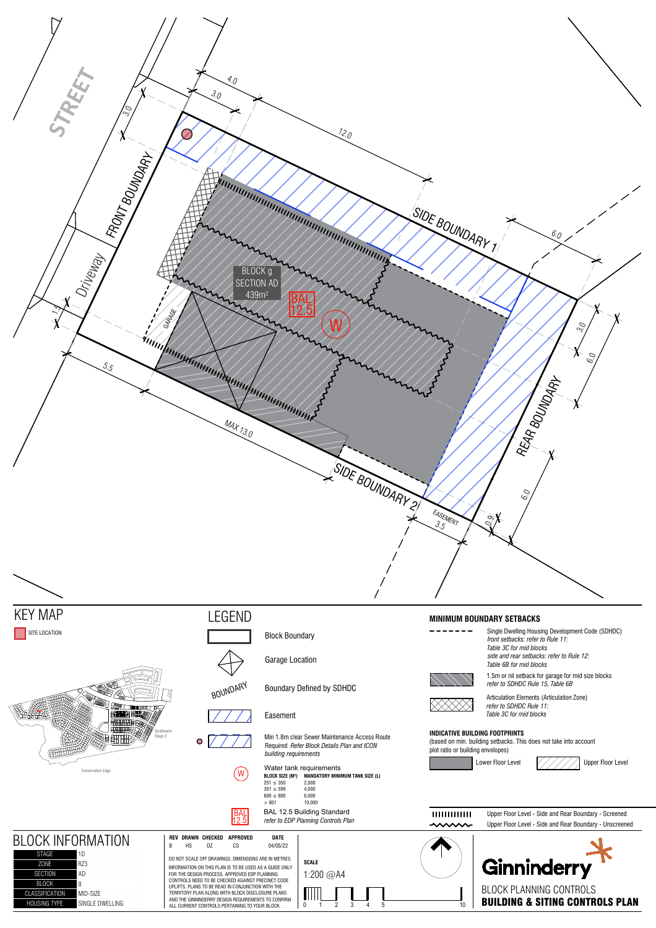

AND THE GINNINDERRY DESIGN REQUIREMENTS TO CONFIRM ALL CURRENT CONTROLS PERTAINING TO YOUR BLOCK.

+O8SING TYPE SINGLE DWELLING

BUILDING & SITING CONTROLS PLAN